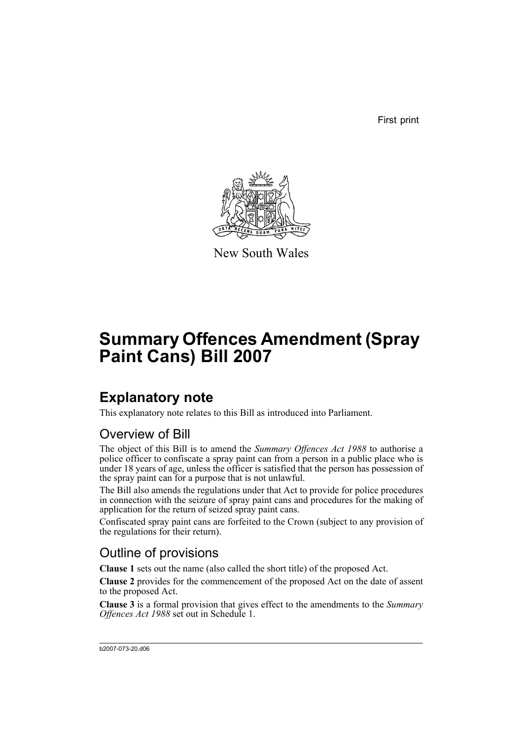First print



New South Wales

# **Summary Offences Amendment (Spray Paint Cans) Bill 2007**

## **Explanatory note**

This explanatory note relates to this Bill as introduced into Parliament.

### Overview of Bill

The object of this Bill is to amend the *Summary Offences Act 1988* to authorise a police officer to confiscate a spray paint can from a person in a public place who is under 18 years of age, unless the officer is satisfied that the person has possession of the spray paint can for a purpose that is not unlawful.

The Bill also amends the regulations under that Act to provide for police procedures in connection with the seizure of spray paint cans and procedures for the making of application for the return of seized spray paint cans.

Confiscated spray paint cans are forfeited to the Crown (subject to any provision of the regulations for their return).

### Outline of provisions

**Clause 1** sets out the name (also called the short title) of the proposed Act.

**Clause 2** provides for the commencement of the proposed Act on the date of assent to the proposed Act.

**Clause 3** is a formal provision that gives effect to the amendments to the *Summary Offences Act 1988* set out in Schedule 1.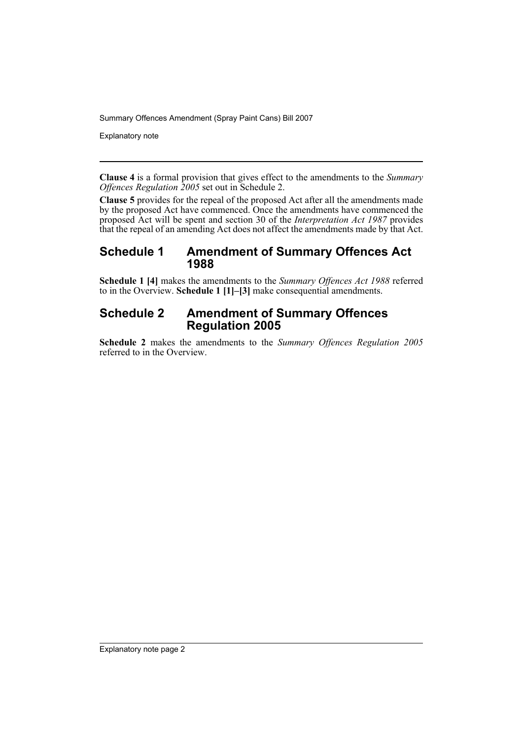Explanatory note

**Clause 4** is a formal provision that gives effect to the amendments to the *Summary Offences Regulation 2005* set out in Schedule 2.

**Clause 5** provides for the repeal of the proposed Act after all the amendments made by the proposed Act have commenced. Once the amendments have commenced the proposed Act will be spent and section 30 of the *Interpretation Act 1987* provides that the repeal of an amending Act does not affect the amendments made by that Act.

### **Schedule 1 Amendment of Summary Offences Act 1988**

**Schedule 1 [4]** makes the amendments to the *Summary Offences Act 1988* referred to in the Overview. **Schedule 1 [1]–[3]** make consequential amendments.

### **Schedule 2 Amendment of Summary Offences Regulation 2005**

**Schedule 2** makes the amendments to the *Summary Offences Regulation 2005* referred to in the Overview.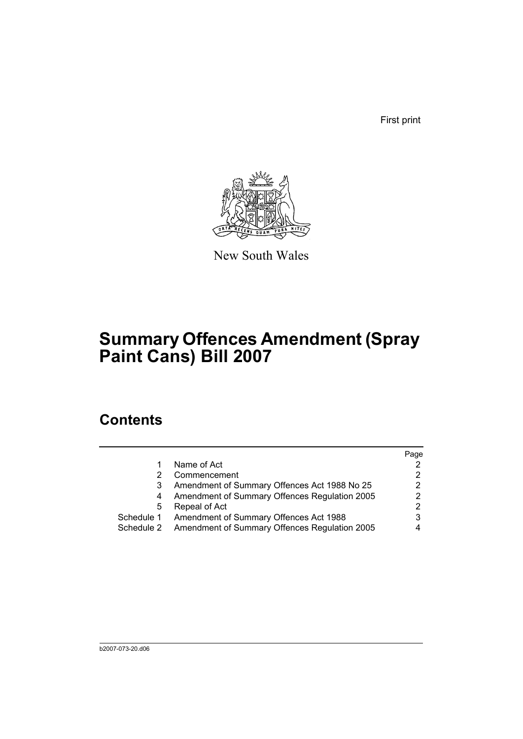First print



New South Wales

## **Summary Offences Amendment (Spray Paint Cans) Bill 2007**

### **Contents**

|            |                                               | Page                 |
|------------|-----------------------------------------------|----------------------|
|            | Name of Act                                   |                      |
|            | Commencement                                  | 2                    |
|            | Amendment of Summary Offences Act 1988 No 25  | $\mathbf{2}^{\circ}$ |
| 4          | Amendment of Summary Offences Regulation 2005 | 2                    |
| 5          | Repeal of Act                                 | 2                    |
| Schedule 1 | Amendment of Summary Offences Act 1988        | 3                    |
| Schedule 2 | Amendment of Summary Offences Regulation 2005 |                      |
|            |                                               |                      |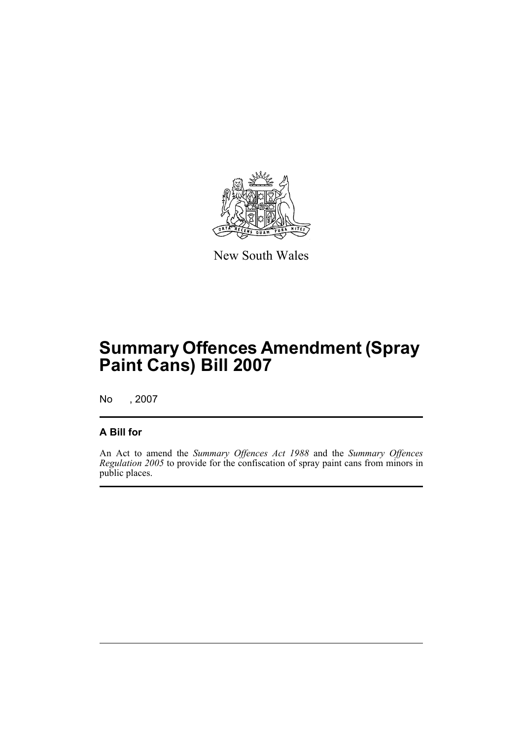

New South Wales

## **Summary Offences Amendment (Spray Paint Cans) Bill 2007**

No , 2007

#### **A Bill for**

An Act to amend the *Summary Offences Act 1988* and the *Summary Offences Regulation 2005* to provide for the confiscation of spray paint cans from minors in public places.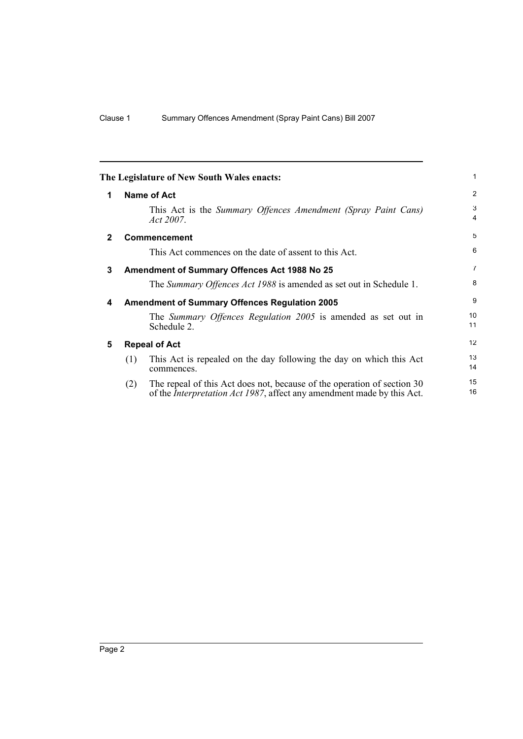<span id="page-5-4"></span><span id="page-5-3"></span><span id="page-5-2"></span><span id="page-5-1"></span><span id="page-5-0"></span>

|              |                      | The Legislature of New South Wales enacts:                                                                                                                | 1                   |
|--------------|----------------------|-----------------------------------------------------------------------------------------------------------------------------------------------------------|---------------------|
| 1            |                      | <b>Name of Act</b>                                                                                                                                        | $\overline{2}$      |
|              |                      | This Act is the Summary Offences Amendment (Spray Paint Cans)<br><i>Act 2007.</i>                                                                         | 3<br>$\overline{4}$ |
| $\mathbf{2}$ |                      | Commencement                                                                                                                                              | 5                   |
|              |                      | This Act commences on the date of assent to this Act.                                                                                                     | 6                   |
| 3            |                      | <b>Amendment of Summary Offences Act 1988 No 25</b>                                                                                                       | $\overline{7}$      |
|              |                      | The Summary Offences Act 1988 is amended as set out in Schedule 1.                                                                                        | 8                   |
| 4            |                      | <b>Amendment of Summary Offences Regulation 2005</b>                                                                                                      | 9                   |
|              |                      | The Summary Offences Regulation 2005 is amended as set out in<br>Schedule 2.                                                                              | 10<br>11            |
| 5            | <b>Repeal of Act</b> |                                                                                                                                                           |                     |
|              | (1)                  | This Act is repealed on the day following the day on which this Act<br>commences.                                                                         | 13<br>14            |
|              | (2)                  | The repeal of this Act does not, because of the operation of section 30<br>of the <i>Interpretation Act 1987</i> , affect any amendment made by this Act. | 15<br>16            |
|              |                      |                                                                                                                                                           |                     |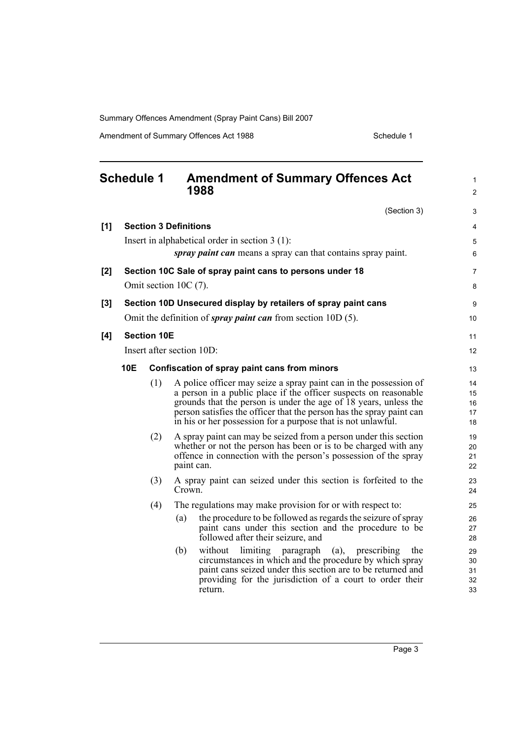Amendment of Summary Offences Act 1988 Schedule 1

<span id="page-6-0"></span>

| <b>Schedule 1</b> |                                                                                                                  | 1988               | <b>Amendment of Summary Offences Act</b> | $\mathbf{1}$<br>$\overline{2}$                                                                                                                                                                                                                                                                                                                    |                            |
|-------------------|------------------------------------------------------------------------------------------------------------------|--------------------|------------------------------------------|---------------------------------------------------------------------------------------------------------------------------------------------------------------------------------------------------------------------------------------------------------------------------------------------------------------------------------------------------|----------------------------|
|                   |                                                                                                                  |                    |                                          | (Section 3)                                                                                                                                                                                                                                                                                                                                       | 3                          |
| [1]               |                                                                                                                  |                    | <b>Section 3 Definitions</b>             |                                                                                                                                                                                                                                                                                                                                                   | 4                          |
|                   | Insert in alphabetical order in section $3(1)$ :<br>spray paint can means a spray can that contains spray paint. |                    |                                          |                                                                                                                                                                                                                                                                                                                                                   | 5<br>6                     |
| [2]               | Section 10C Sale of spray paint cans to persons under 18<br>Omit section 10C (7).                                |                    |                                          | 7                                                                                                                                                                                                                                                                                                                                                 |                            |
|                   |                                                                                                                  |                    |                                          |                                                                                                                                                                                                                                                                                                                                                   | 8                          |
| $[3]$             |                                                                                                                  |                    |                                          | Section 10D Unsecured display by retailers of spray paint cans                                                                                                                                                                                                                                                                                    | 9                          |
|                   |                                                                                                                  |                    |                                          | Omit the definition of <i>spray paint can</i> from section $10D(5)$ .                                                                                                                                                                                                                                                                             | 10                         |
| [4]               |                                                                                                                  | <b>Section 10E</b> |                                          |                                                                                                                                                                                                                                                                                                                                                   | 11                         |
|                   |                                                                                                                  |                    | Insert after section 10D:                |                                                                                                                                                                                                                                                                                                                                                   | 12                         |
|                   | 10E                                                                                                              |                    |                                          | Confiscation of spray paint cans from minors                                                                                                                                                                                                                                                                                                      | 13                         |
|                   |                                                                                                                  | (1)                |                                          | A police officer may seize a spray paint can in the possession of<br>a person in a public place if the officer suspects on reasonable<br>grounds that the person is under the age of 18 years, unless the<br>person satisfies the officer that the person has the spray paint can<br>in his or her possession for a purpose that is not unlawful. | 14<br>15<br>16<br>17<br>18 |
|                   |                                                                                                                  | (2)                | paint can.                               | A spray paint can may be seized from a person under this section<br>whether or not the person has been or is to be charged with any<br>offence in connection with the person's possession of the spray                                                                                                                                            | 19<br>20<br>21<br>22       |
|                   |                                                                                                                  | (3)                | Crown.                                   | A spray paint can seized under this section is forfeited to the                                                                                                                                                                                                                                                                                   | 23<br>24                   |
|                   |                                                                                                                  | (4)                |                                          | The regulations may make provision for or with respect to:                                                                                                                                                                                                                                                                                        | 25                         |
|                   |                                                                                                                  |                    | (a)                                      | the procedure to be followed as regards the seizure of spray<br>paint cans under this section and the procedure to be<br>followed after their seizure, and                                                                                                                                                                                        | 26<br>27<br>28             |
|                   |                                                                                                                  |                    | (b)                                      | without limiting paragraph (a),<br>prescribing<br>the<br>circumstances in which and the procedure by which spray<br>paint cans seized under this section are to be returned and<br>providing for the jurisdiction of a court to order their<br>return.                                                                                            | 29<br>30<br>31<br>32<br>33 |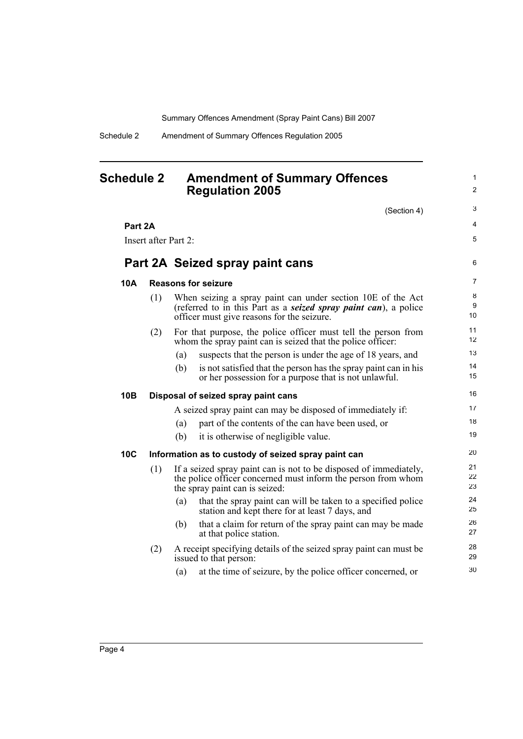**Part 2A Seized spray paint cans**

**10B Disposal of seized spray paint cans**

**Part 2A**

Insert after Part 2:

**10A Reasons for seizure**

#### <span id="page-7-0"></span>**Schedule 2 Amendment of Summary Offences Regulation 2005**

**10C Information as to custody of seized spray paint can**

issued to that person:

|     |                                                                                                                                                                      | (Section 4)                                                                                                                                                                           | 3            |  |  |
|-----|----------------------------------------------------------------------------------------------------------------------------------------------------------------------|---------------------------------------------------------------------------------------------------------------------------------------------------------------------------------------|--------------|--|--|
| Α   |                                                                                                                                                                      |                                                                                                                                                                                       | 4            |  |  |
|     | after Part 2:                                                                                                                                                        |                                                                                                                                                                                       | 5            |  |  |
|     |                                                                                                                                                                      | 2A Seized spray paint cans                                                                                                                                                            | 6            |  |  |
|     |                                                                                                                                                                      | <b>Reasons for seizure</b>                                                                                                                                                            | 7            |  |  |
| (1) |                                                                                                                                                                      | When seizing a spray paint can under section 10E of the Act<br>(referred to in this Part as a <b>seized spray paint can</b> ), a police<br>officer must give reasons for the seizure. | 8<br>9<br>10 |  |  |
| (2) | For that purpose, the police officer must tell the person from<br>whom the spray paint can is seized that the police officer:                                        |                                                                                                                                                                                       |              |  |  |
|     | (a)                                                                                                                                                                  | suspects that the person is under the age of 18 years, and                                                                                                                            | 13           |  |  |
|     | (b)                                                                                                                                                                  | is not satisfied that the person has the spray paint can in his<br>or her possession for a purpose that is not unlawful.                                                              | 14<br>15     |  |  |
|     |                                                                                                                                                                      | Disposal of seized spray paint cans                                                                                                                                                   | 16           |  |  |
|     |                                                                                                                                                                      | A seized spray paint can may be disposed of immediately if:                                                                                                                           | 17           |  |  |
|     | (a)                                                                                                                                                                  | part of the contents of the can have been used, or                                                                                                                                    | 18           |  |  |
|     | (b)                                                                                                                                                                  | it is otherwise of negligible value.                                                                                                                                                  | 19           |  |  |
|     |                                                                                                                                                                      | Information as to custody of seized spray paint can                                                                                                                                   | 20           |  |  |
| (1) | If a seized spray paint can is not to be disposed of immediately,<br>the police officer concerned must inform the person from whom<br>the spray paint can is seized: |                                                                                                                                                                                       |              |  |  |
|     | (a)                                                                                                                                                                  | that the spray paint can will be taken to a specified police<br>station and kept there for at least 7 days, and                                                                       | 24<br>25     |  |  |
|     | (b)                                                                                                                                                                  | that a claim for return of the spray paint can may be made<br>at that police station.                                                                                                 | 26<br>27     |  |  |
| (2) | A receipt specifying details of the seized spray paint can must be<br>issued to that nerson:                                                                         |                                                                                                                                                                                       |              |  |  |

30

1  $\overline{2}$ 

(a) at the time of seizure, by the police officer concerned, or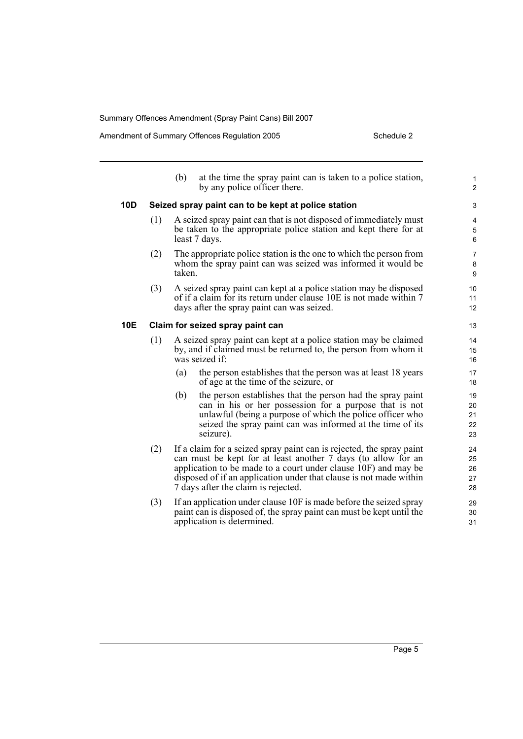|     |                                                     | (b)                                                                                                                                                                                                                                                                                                                  | at the time the spray paint can is taken to a police station,<br>by any police officer there.                                                                                                                                                                | $\mathbf{1}$<br>$\overline{2}$ |  |
|-----|-----------------------------------------------------|----------------------------------------------------------------------------------------------------------------------------------------------------------------------------------------------------------------------------------------------------------------------------------------------------------------------|--------------------------------------------------------------------------------------------------------------------------------------------------------------------------------------------------------------------------------------------------------------|--------------------------------|--|
| 10D | Seized spray paint can to be kept at police station |                                                                                                                                                                                                                                                                                                                      |                                                                                                                                                                                                                                                              |                                |  |
|     | (1)                                                 |                                                                                                                                                                                                                                                                                                                      | A seized spray paint can that is not disposed of immediately must<br>be taken to the appropriate police station and kept there for at<br>least 7 days.                                                                                                       | 4<br>5<br>6                    |  |
|     | (2)                                                 | taken.                                                                                                                                                                                                                                                                                                               | The appropriate police station is the one to which the person from<br>whom the spray paint can was seized was informed it would be                                                                                                                           | 7<br>8<br>9                    |  |
|     | (3)                                                 |                                                                                                                                                                                                                                                                                                                      | A seized spray paint can kept at a police station may be disposed<br>of if a claim for its return under clause 10E is not made within 7<br>days after the spray paint can was seized.                                                                        | 10<br>11<br>12                 |  |
| 10E | Claim for seized spray paint can                    |                                                                                                                                                                                                                                                                                                                      |                                                                                                                                                                                                                                                              |                                |  |
|     | (1)                                                 | A seized spray paint can kept at a police station may be claimed<br>by, and if claimed must be returned to, the person from whom it<br>was seized if:                                                                                                                                                                |                                                                                                                                                                                                                                                              |                                |  |
|     |                                                     | (a)                                                                                                                                                                                                                                                                                                                  | the person establishes that the person was at least 18 years<br>of age at the time of the seizure, or                                                                                                                                                        | 17<br>18                       |  |
|     |                                                     | (b)                                                                                                                                                                                                                                                                                                                  | the person establishes that the person had the spray paint<br>can in his or her possession for a purpose that is not<br>unlawful (being a purpose of which the police officer who<br>seized the spray paint can was informed at the time of its<br>seizure). | 19<br>20<br>21<br>22<br>23     |  |
|     | (2)                                                 | If a claim for a seized spray paint can is rejected, the spray paint<br>can must be kept for at least another 7 days (to allow for an<br>application to be made to a court under clause 10F) and may be<br>disposed of if an application under that clause is not made within<br>7 days after the claim is rejected. |                                                                                                                                                                                                                                                              |                                |  |
|     | (3)                                                 |                                                                                                                                                                                                                                                                                                                      | If an application under clause 10F is made before the seized spray<br>paint can is disposed of, the spray paint can must be kept until the<br>application is determined.                                                                                     | 29<br>30<br>31                 |  |